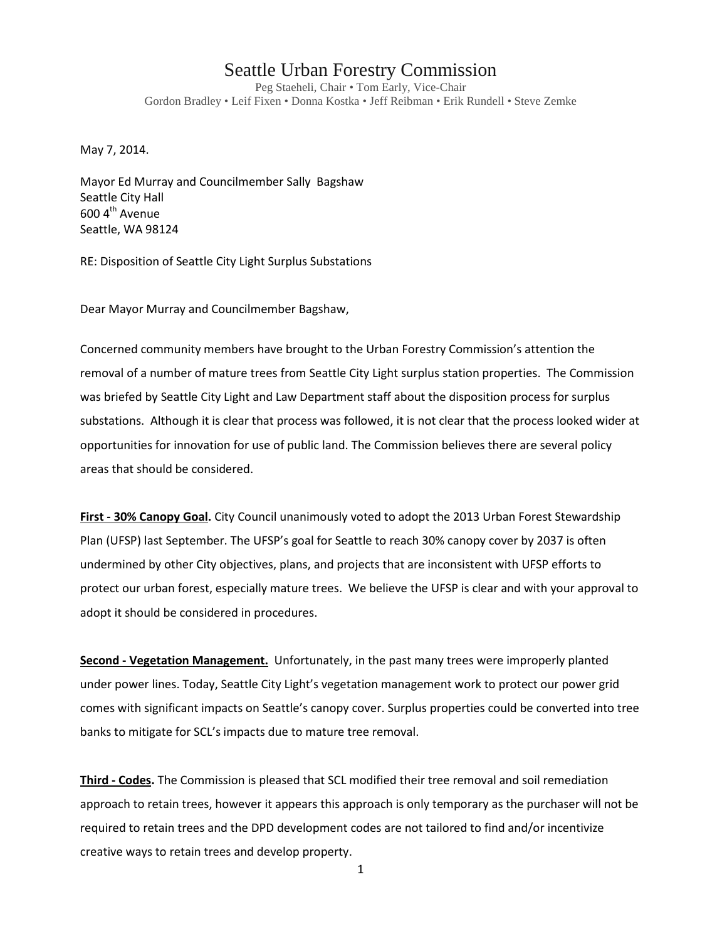## Seattle Urban Forestry Commission

Peg Staeheli, Chair • Tom Early, Vice-Chair Gordon Bradley • Leif Fixen • Donna Kostka • Jeff Reibman • Erik Rundell • Steve Zemke

May 7, 2014.

Mayor Ed Murray and Councilmember Sally Bagshaw Seattle City Hall  $600$  4<sup>th</sup> Avenue Seattle, WA 98124

RE: Disposition of Seattle City Light Surplus Substations

Dear Mayor Murray and Councilmember Bagshaw,

Concerned community members have brought to the Urban Forestry Commission's attention the removal of a number of mature trees from Seattle City Light surplus station properties. The Commission was briefed by Seattle City Light and Law Department staff about the disposition process for surplus substations. Although it is clear that process was followed, it is not clear that the process looked wider at opportunities for innovation for use of public land. The Commission believes there are several policy areas that should be considered.

**First - 30% Canopy Goal.** City Council unanimously voted to adopt the 2013 Urban Forest Stewardship Plan (UFSP) last September. The UFSP's goal for Seattle to reach 30% canopy cover by 2037 is often undermined by other City objectives, plans, and projects that are inconsistent with UFSP efforts to protect our urban forest, especially mature trees. We believe the UFSP is clear and with your approval to adopt it should be considered in procedures.

**Second - Vegetation Management.** Unfortunately, in the past many trees were improperly planted under power lines. Today, Seattle City Light's vegetation management work to protect our power grid comes with significant impacts on Seattle's canopy cover. Surplus properties could be converted into tree banks to mitigate for SCL's impacts due to mature tree removal.

**Third - Codes.** The Commission is pleased that SCL modified their tree removal and soil remediation approach to retain trees, however it appears this approach is only temporary as the purchaser will not be required to retain trees and the DPD development codes are not tailored to find and/or incentivize creative ways to retain trees and develop property.